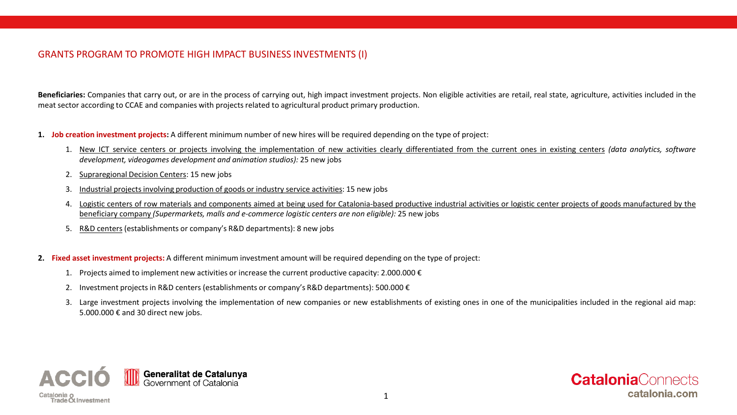# GRANTS PROGRAM TO PROMOTE HIGH IMPACT BUSINESS INVESTMENTS (I)

**Beneficiaries:** Companies that carry out, or are in the process of carrying out, high impact investment projects. Non eligible activities are retail, real state, agriculture, activities included in the meat sector according to CCAE and companies with projects related to agricultural product primary production.

- **1. Job creation investment projects:** A different minimum number of new hires will be required depending on the type of project:
	- 1. New ICT service centers or projects involving the implementation of new activities clearly differentiated from the current ones in existing centers *(data analytics, software development, videogames development and animation studios):* 25 new jobs
	- 2. Supraregional Decision Centers: 15 new jobs
	- 3. Industrial projects involving production of goods or industry service activities: 15 new jobs
	- 4. Logistic centers of row materials and components aimed at being used for Catalonia-based productive industrial activities or logistic center projects of goods manufactured by the beneficiary company *(Supermarkets, malls and e-commerce logistic centers are non eligible):* 25 new jobs
	- 5. R&D centers(establishments or company's R&D departments): 8 new jobs
- **2. Fixed asset investment projects:** A different minimum investment amount will be required depending on the type of project:
	- 1. Projects aimed to implement new activities or increase the current productive capacity: 2.000.000  $\epsilon$
	- 2. Investment projects in R&D centers (establishments or company's R&D departments): 500.000 €
	- 3. Large investment projects involving the implementation of new companies or new establishments of existing ones in one of the municipalities included in the regional aid map: 5.000.000 € and 30 direct new jobs.



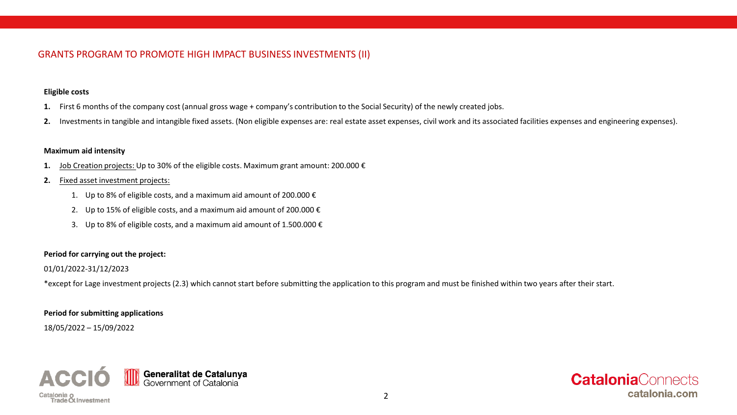# GRANTS PROGRAM TO PROMOTE HIGH IMPACT BUSINESS INVESTMENTS (II)

# **Eligible costs**

- **1.** First 6 months of the company cost (annual gross wage + company's contribution to the Social Security) of the newly created jobs.
- **2.** Investmentsin tangible and intangible fixed assets. (Non eligible expenses are: real estate asset expenses, civil work and its associated facilities expenses and engineering expenses).

## **Maximum aid intensity**

- **1.** Job Creation projects: Up to 30% of the eligible costs. Maximum grant amount: 200.000 €
- **2.** Fixed asset investment projects:
	- 1. Up to 8% of eligible costs, and a maximum aid amount of 200.000  $\epsilon$
	- 2. Up to 15% of eligible costs, and a maximum aid amount of 200.000  $\epsilon$
	- 3. Up to 8% of eligible costs, and a maximum aid amount of 1.500.000  $\epsilon$

# **Period for carrying out the project:**

01/01/2022-31/12/2023

\*except for Lage investment projects (2.3) which cannot start before submitting the application to this program and must be finished within two years after their start.

# **Period for submitting applications**

18/05/2022 – 15/09/2022